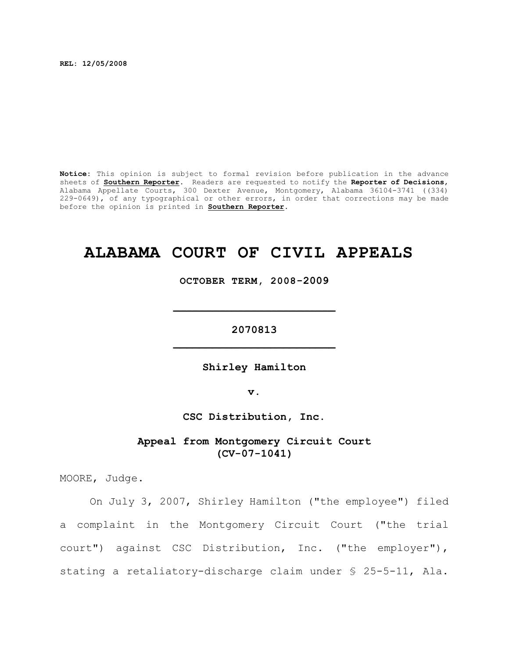**REL: 12/05/2008**

**Notice:** This opinion is subject to formal revision before publication in the advance sheets of **Southern Reporter**. Readers are requested to notify the **Reporter of Decisions**, Alabama Appellate Courts, 300 Dexter Avenue, Montgomery, Alabama 36104-3741 ((334) 229-0649), of any typographical or other errors, in order that corrections may be made before the opinion is printed in **Southern Reporter**.

## **ALABAMA COURT OF CIVIL APPEALS**

**OCTOBER TERM, 2008-2009**

**\_\_\_\_\_\_\_\_\_\_\_\_\_\_\_\_\_\_\_\_\_\_\_\_\_**

**2070813 \_\_\_\_\_\_\_\_\_\_\_\_\_\_\_\_\_\_\_\_\_\_\_\_\_**

**Shirley Hamilton**

**v.**

**CSC Distribution, Inc.**

**Appeal from Montgomery Circuit Court (CV-07-1041)**

MOORE, Judge.

On July 3, 2007, Shirley Hamilton ("the employee") filed a complaint in the Montgomery Circuit Court ("the trial court") against CSC Distribution, Inc. ("the employer"), stating a retaliatory-discharge claim under § 25-5-11, Ala.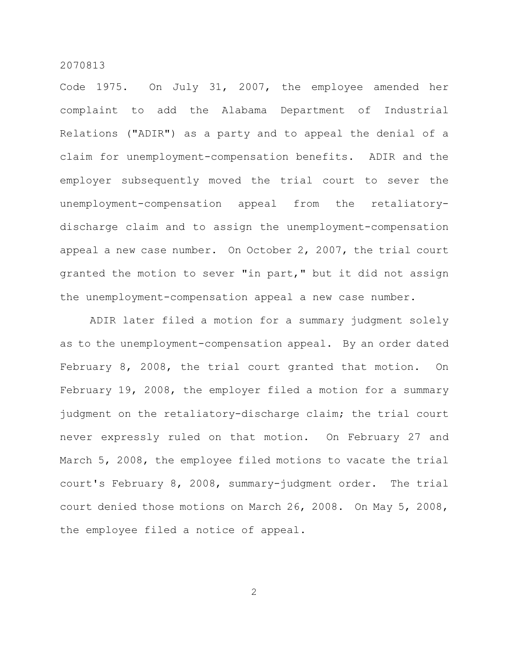Code 1975. On July 31, 2007, the employee amended her complaint to add the Alabama Department of Industrial Relations ("ADIR") as a party and to appeal the denial of a claim for unemployment-compensation benefits. ADIR and the employer subsequently moved the trial court to sever the unemployment-compensation appeal from the retaliatorydischarge claim and to assign the unemployment-compensation appeal a new case number. On October 2, 2007, the trial court granted the motion to sever "in part," but it did not assign the unemployment-compensation appeal a new case number.

ADIR later filed a motion for a summary judgment solely as to the unemployment-compensation appeal. By an order dated February 8, 2008, the trial court granted that motion. On February 19, 2008, the employer filed a motion for a summary judgment on the retaliatory-discharge claim; the trial court never expressly ruled on that motion. On February 27 and March 5, 2008, the employee filed motions to vacate the trial court's February 8, 2008, summary-judgment order. The trial court denied those motions on March 26, 2008. On May 5, 2008, the employee filed a notice of appeal.

2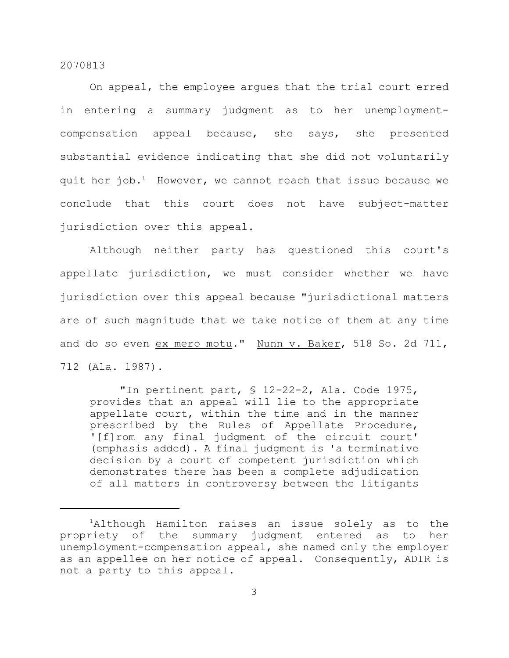On appeal, the employee argues that the trial court erred in entering a summary judgment as to her unemploymentcompensation appeal because, she says, she presented substantial evidence indicating that she did not voluntarily quit her job.<sup>1</sup> However, we cannot reach that issue because we conclude that this court does not have subject-matter jurisdiction over this appeal.

Although neither party has questioned this court's appellate jurisdiction, we must consider whether we have jurisdiction over this appeal because "jurisdictional matters are of such magnitude that we take notice of them at any time and do so even ex mero motu." Nunn v. Baker, 518 So. 2d 711, 712 (Ala. 1987).

"In pertinent part, § 12-22-2, Ala. Code 1975, provides that an appeal will lie to the appropriate appellate court, within the time and in the manner prescribed by the Rules of Appellate Procedure, '[f]rom any final judgment of the circuit court' (emphasis added). A final judgment is 'a terminative decision by a court of competent jurisdiction which demonstrates there has been a complete adjudication of all matters in controversy between the litigants

 $1$ Although Hamilton raises an issue solely as to the propriety of the summary judgment entered as to her unemployment-compensation appeal, she named only the employer as an appellee on her notice of appeal. Consequently, ADIR is not a party to this appeal.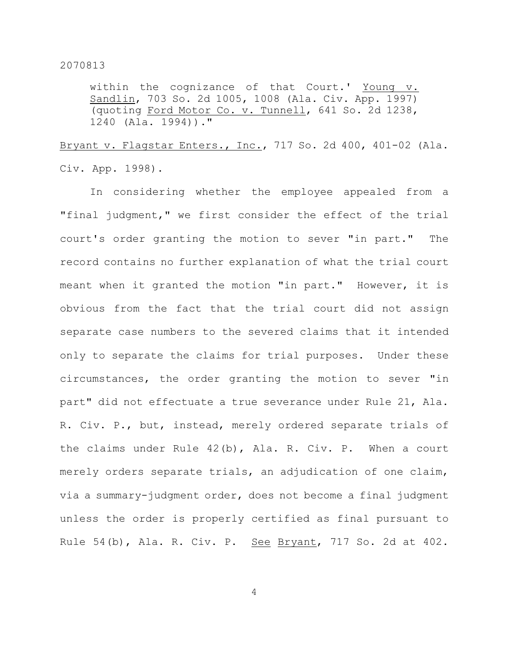within the cognizance of that Court.' Young v. Sandlin, 703 So. 2d 1005, 1008 (Ala. Civ. App. 1997) (quoting Ford Motor Co. v. Tunnell, 641 So. 2d 1238, 1240 (Ala. 1994))."

Bryant v. Flagstar Enters., Inc., 717 So. 2d 400, 401-02 (Ala. Civ. App. 1998).

In considering whether the employee appealed from a "final judgment," we first consider the effect of the trial court's order granting the motion to sever "in part." The record contains no further explanation of what the trial court meant when it granted the motion "in part." However, it is obvious from the fact that the trial court did not assign separate case numbers to the severed claims that it intended only to separate the claims for trial purposes. Under these circumstances, the order granting the motion to sever "in part" did not effectuate a true severance under Rule 21, Ala. R. Civ. P., but, instead, merely ordered separate trials of the claims under Rule 42(b), Ala. R. Civ. P. When a court merely orders separate trials, an adjudication of one claim, via a summary-judgment order, does not become a final judgment unless the order is properly certified as final pursuant to Rule 54(b), Ala. R. Civ. P. See Bryant, 717 So. 2d at 402.

4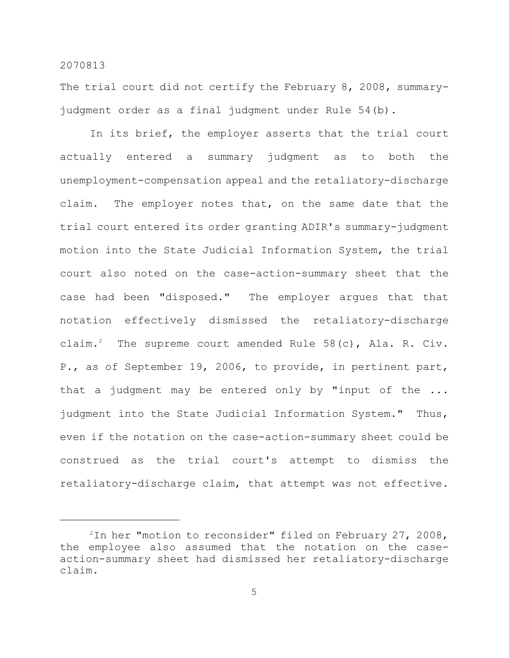The trial court did not certify the February 8, 2008, summaryjudgment order as a final judgment under Rule 54(b).

In its brief, the employer asserts that the trial court actually entered a summary judgment as to both the unemployment-compensation appeal and the retaliatory-discharge claim. The employer notes that, on the same date that the trial court entered its order granting ADIR's summary-judgment motion into the State Judicial Information System, the trial court also noted on the case-action-summary sheet that the case had been "disposed." The employer argues that that notation effectively dismissed the retaliatory-discharge claim.<sup>2</sup> The supreme court amended Rule  $58(c)$ , Ala. R. Civ. P., as of September 19, 2006, to provide, in pertinent part, that a judgment may be entered only by "input of the ... judgment into the State Judicial Information System." Thus, even if the notation on the case-action-summary sheet could be construed as the trial court's attempt to dismiss the retaliatory-discharge claim, that attempt was not effective.

 $2$ In her "motion to reconsider" filed on February 27, 2008, the employee also assumed that the notation on the caseaction-summary sheet had dismissed her retaliatory-discharge claim.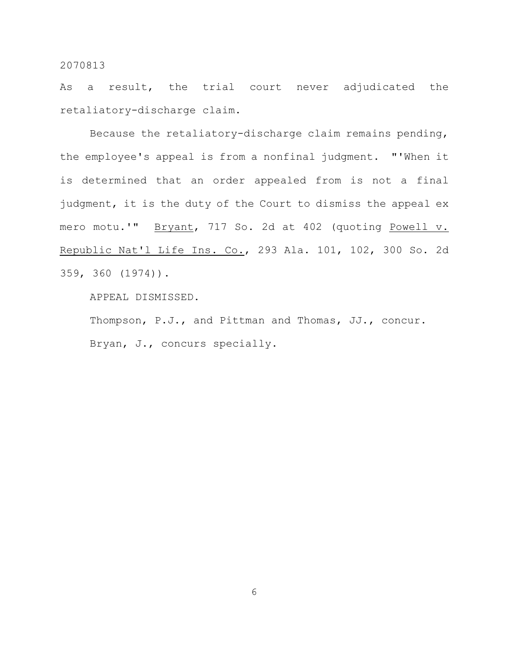As a result, the trial court never adjudicated the retaliatory-discharge claim.

Because the retaliatory-discharge claim remains pending, the employee's appeal is from a nonfinal judgment. "'When it is determined that an order appealed from is not a final judgment, it is the duty of the Court to dismiss the appeal ex mero motu.'" Bryant, 717 So. 2d at 402 (quoting Powell v. Republic Nat'l Life Ins. Co., 293 Ala. 101, 102, 300 So. 2d 359, 360 (1974)).

APPEAL DISMISSED.

Thompson, P.J., and Pittman and Thomas, JJ., concur. Bryan, J., concurs specially.